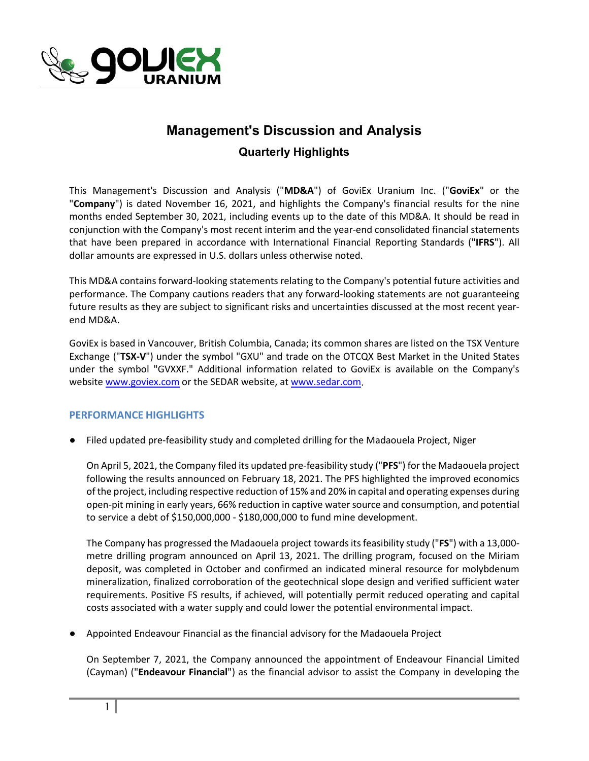

# **Management's Discussion and Analysis**

**Quarterly Highlights**

This Management's Discussion and Analysis ("**MD&A**") of GoviEx Uranium Inc. ("**GoviEx**" or the "**Company**") is dated November 16, 2021, and highlights the Company's financial results for the nine months ended September 30, 2021, including events up to the date of this MD&A. It should be read in conjunction with the Company's most recent interim and the year-end consolidated financial statements that have been prepared in accordance with International Financial Reporting Standards ("**IFRS**"). All dollar amounts are expressed in U.S. dollars unless otherwise noted.

This MD&A contains forward-looking statements relating to the Company's potential future activities and performance. The Company cautions readers that any forward-looking statements are not guaranteeing future results as they are subject to significant risks and uncertainties discussed at the most recent yearend MD&A.

GoviEx is based in Vancouver, British Columbia, Canada; its common shares are listed on the TSX Venture Exchange ("**TSX-V**") under the symbol "GXU" and trade on the OTCQX Best Market in the United States under the symbol "GVXXF." Additional information related to GoviEx is available on the Company's websit[e www.goviex.com](http://www.goviex.com/) or the SEDAR website, a[t www.sedar.com.](http://www.sedar.com/)

### **PERFORMANCE HIGHLIGHTS**

● Filed updated pre-feasibility study and completed drilling for the Madaouela Project, Niger

On April 5, 2021, the Company filed its updated pre-feasibility study ("**PFS**") for the Madaouela project following the results announced on February 18, 2021. The PFS highlighted the improved economics of the project, including respective reduction of 15% and 20% in capital and operating expenses during open-pit mining in early years, 66% reduction in captive water source and consumption, and potential to service a debt of \$150,000,000 - \$180,000,000 to fund mine development.

The Company has progressed the Madaouela project towards its feasibility study ("**FS**") with a 13,000 metre drilling program announced on April 13, 2021. The drilling program, focused on the Miriam deposit, was completed in October and confirmed an indicated mineral resource for molybdenum mineralization, finalized corroboration of the geotechnical slope design and verified sufficient water requirements. Positive FS results, if achieved, will potentially permit reduced operating and capital costs associated with a water supply and could lower the potential environmental impact.

● Appointed Endeavour Financial as the financial advisory for the Madaouela Project

On September 7, 2021, the Company announced the appointment of Endeavour Financial Limited (Cayman) ("**Endeavour Financial**") as the financial advisor to assist the Company in developing the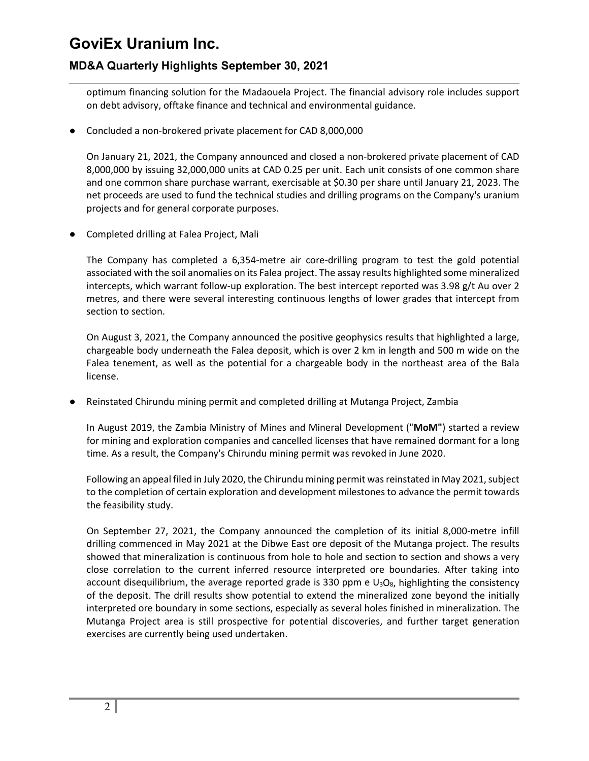## **MD&A Quarterly Highlights September 30, 2021**

optimum financing solution for the Madaouela Project. The financial advisory role includes support on debt advisory, offtake finance and technical and environmental guidance.

● Concluded a non-brokered private placement for CAD 8,000,000

On January 21, 2021, the Company announced and closed a non-brokered private placement of CAD 8,000,000 by issuing 32,000,000 units at CAD 0.25 per unit. Each unit consists of one common share and one common share purchase warrant, exercisable at \$0.30 per share until January 21, 2023. The net proceeds are used to fund the technical studies and drilling programs on the Company's uranium projects and for general corporate purposes.

● Completed drilling at Falea Project, Mali

The Company has completed a 6,354-metre air core-drilling program to test the gold potential associated with the soil anomalies on its Falea project. The assay results highlighted some mineralized intercepts, which warrant follow-up exploration. The best intercept reported was 3.98 g/t Au over 2 metres, and there were several interesting continuous lengths of lower grades that intercept from section to section.

On August 3, 2021, the Company announced the positive geophysics results that highlighted a large, chargeable body underneath the Falea deposit, which is over 2 km in length and 500 m wide on the Falea tenement, as well as the potential for a chargeable body in the northeast area of the Bala license.

Reinstated Chirundu mining permit and completed drilling at Mutanga Project, Zambia

In August 2019, the Zambia Ministry of Mines and Mineral Development ("**MoM"**) started a review for mining and exploration companies and cancelled licenses that have remained dormant for a long time. As a result, the Company's Chirundu mining permit was revoked in June 2020.

Following an appeal filed in July 2020, the Chirundu mining permit was reinstated in May 2021, subject to the completion of certain exploration and development milestones to advance the permit towards the feasibility study.

On September 27, 2021, the Company announced the completion of its initial 8,000-metre infill drilling commenced in May 2021 at the Dibwe East ore deposit of the Mutanga project. The results showed that mineralization is continuous from hole to hole and section to section and shows a very close correlation to the current inferred resource interpreted ore boundaries. After taking into account disequilibrium, the average reported grade is 330 ppm e  $U_3O_8$ , highlighting the consistency of the deposit. The drill results show potential to extend the mineralized zone beyond the initially interpreted ore boundary in some sections, especially as several holes finished in mineralization. The Mutanga Project area is still prospective for potential discoveries, and further target generation exercises are currently being used undertaken.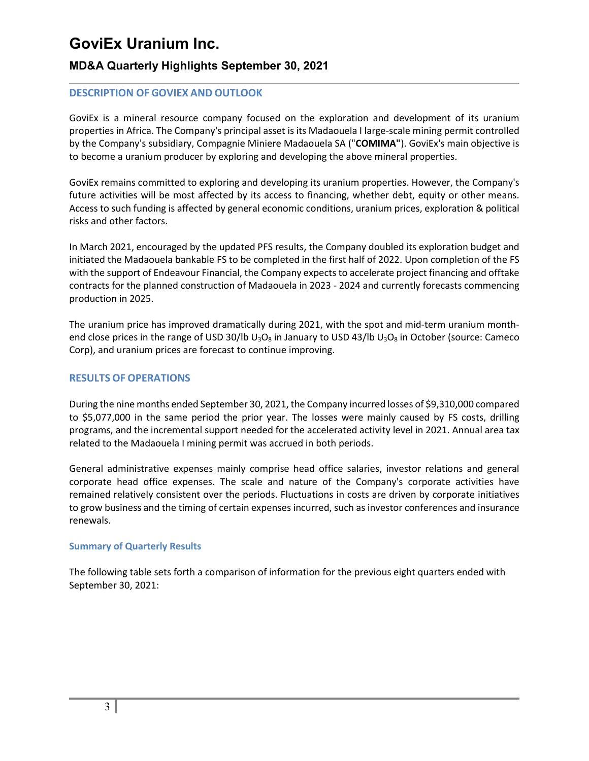### **MD&A Quarterly Highlights September 30, 2021**

### **DESCRIPTION OF GOVIEX AND OUTLOOK**

GoviEx is a mineral resource company focused on the exploration and development of its uranium properties in Africa. The Company's principal asset is its Madaouela I large-scale mining permit controlled by the Company's subsidiary, Compagnie Miniere Madaouela SA ("**COMIMA"**). GoviEx's main objective is to become a uranium producer by exploring and developing the above mineral properties.

GoviEx remains committed to exploring and developing its uranium properties. However, the Company's future activities will be most affected by its access to financing, whether debt, equity or other means. Access to such funding is affected by general economic conditions, uranium prices, exploration & political risks and other factors.

In March 2021, encouraged by the updated PFS results, the Company doubled its exploration budget and initiated the Madaouela bankable FS to be completed in the first half of 2022. Upon completion of the FS with the support of Endeavour Financial, the Company expects to accelerate project financing and offtake contracts for the planned construction of Madaouela in 2023 - 2024 and currently forecasts commencing production in 2025.

The uranium price has improved dramatically during 2021, with the spot and mid-term uranium monthend close prices in the range of USD 30/lb U<sub>3</sub>O<sub>8</sub> in January to USD 43/lb U<sub>3</sub>O<sub>8</sub> in October (source: Cameco Corp), and uranium prices are forecast to continue improving.

#### **RESULTS OF OPERATIONS**

During the nine months ended September 30, 2021, the Company incurred losses of \$9,310,000 compared to \$5,077,000 in the same period the prior year. The losses were mainly caused by FS costs, drilling programs, and the incremental support needed for the accelerated activity level in 2021. Annual area tax related to the Madaouela I mining permit was accrued in both periods.

General administrative expenses mainly comprise head office salaries, investor relations and general corporate head office expenses. The scale and nature of the Company's corporate activities have remained relatively consistent over the periods. Fluctuations in costs are driven by corporate initiatives to grow business and the timing of certain expenses incurred, such as investor conferences and insurance renewals.

#### **Summary of Quarterly Results**

The following table sets forth a comparison of information for the previous eight quarters ended with September 30, 2021: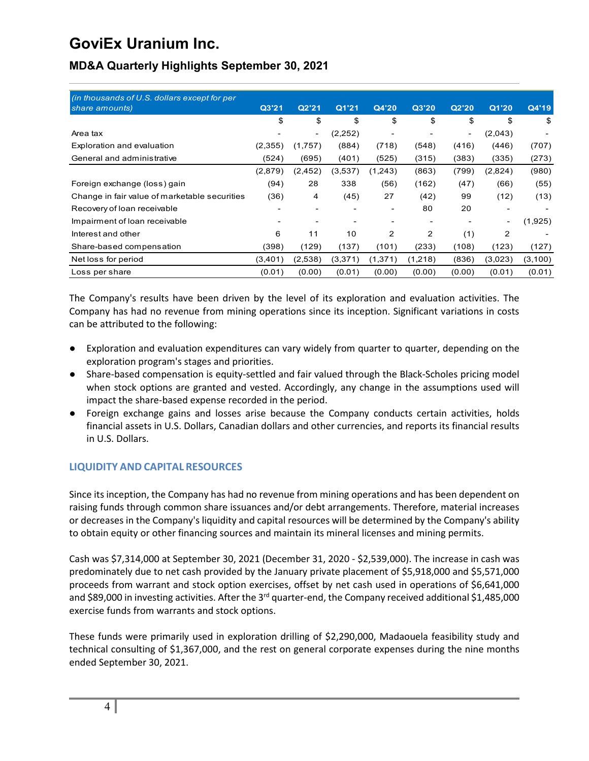| (in thousands of U.S. dollars except for per  |                          |                          |          |                |         |                          |                          |         |
|-----------------------------------------------|--------------------------|--------------------------|----------|----------------|---------|--------------------------|--------------------------|---------|
| share amounts)                                | Q3'21                    | Q2'21                    | Q1'21    | Q4'20          | Q3'20   | Q2'20                    | Q1'20                    | Q4'19   |
|                                               | \$                       | \$                       | \$       | \$             | \$      | \$                       | \$                       | \$      |
| Area tax                                      |                          | $\overline{\phantom{0}}$ | (2, 252) | $\blacksquare$ |         | $\overline{\phantom{a}}$ | (2,043)                  |         |
| Exploration and evaluation                    | (2,355)                  | (1,757)                  | (884)    | (718)          | (548)   | (416)                    | (446)                    | (707)   |
| General and administrative                    | (524)                    | (695)                    | (401)    | (525)          | (315)   | (383)                    | (335)                    | (273)   |
|                                               | (2,879)                  | (2, 452)                 | (3,537)  | (1,243)        | (863)   | (799)                    | (2,824)                  | (980)   |
| Foreign exchange (loss) gain                  | (94)                     | 28                       | 338      | (56)           | (162)   | (47)                     | (66)                     | (55)    |
| Change in fair value of marketable securities | (36)                     | 4                        | (45)     | 27             | (42)    | 99                       | (12)                     | (13)    |
| Recovery of loan receivable                   |                          | $\overline{\phantom{a}}$ |          |                | 80      | 20                       |                          |         |
| Impairment of loan receivable                 | $\overline{\phantom{a}}$ | $\overline{\phantom{0}}$ |          |                |         |                          | $\overline{\phantom{a}}$ | (1,925) |
| Interest and other                            | 6                        | 11                       | 10       | 2              | 2       | (1)                      | 2                        |         |
| Share-based compensation                      | (398)                    | (129)                    | (137)    | (101)          | (233)   | (108)                    | (123)                    | (127)   |
| Net loss for period                           | (3,401)                  | (2,538)                  | (3,371)  | (1, 371)       | (1,218) | (836)                    | (3,023)                  | (3,100) |
| Loss per share                                | (0.01)                   | (0.00)                   | (0.01)   | (0.00)         | (0.00)  | (0.00)                   | (0.01)                   | (0.01)  |

# **MD&A Quarterly Highlights September 30, 2021**

The Company's results have been driven by the level of its exploration and evaluation activities. The Company has had no revenue from mining operations since its inception. Significant variations in costs can be attributed to the following:

- Exploration and evaluation expenditures can vary widely from quarter to quarter, depending on the exploration program's stages and priorities.
- Share-based compensation is equity-settled and fair valued through the Black-Scholes pricing model when stock options are granted and vested. Accordingly, any change in the assumptions used will impact the share-based expense recorded in the period.
- Foreign exchange gains and losses arise because the Company conducts certain activities, holds financial assets in U.S. Dollars, Canadian dollars and other currencies, and reports its financial results in U.S. Dollars.

### **LIQUIDITY AND CAPITAL RESOURCES**

Since its inception, the Company has had no revenue from mining operations and has been dependent on raising funds through common share issuances and/or debt arrangements. Therefore, material increases or decreases in the Company's liquidity and capital resources will be determined by the Company's ability to obtain equity or other financing sources and maintain its mineral licenses and mining permits.

Cash was \$7,314,000 at September 30, 2021 (December 31, 2020 - \$2,539,000). The increase in cash was predominately due to net cash provided by the January private placement of \$5,918,000 and \$5,571,000 proceeds from warrant and stock option exercises, offset by net cash used in operations of \$6,641,000 and \$89,000 in investing activities. After the 3<sup>rd</sup> quarter-end, the Company received additional \$1,485,000 exercise funds from warrants and stock options.

These funds were primarily used in exploration drilling of \$2,290,000, Madaouela feasibility study and technical consulting of \$1,367,000, and the rest on general corporate expenses during the nine months ended September 30, 2021.